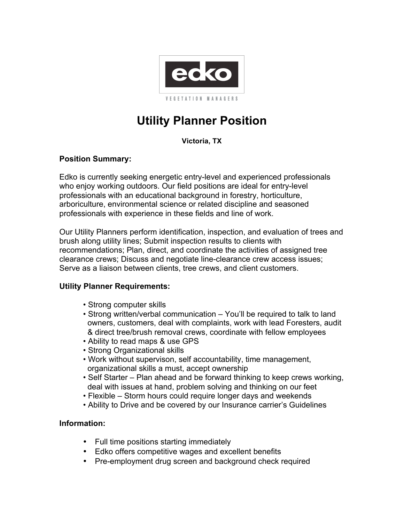

# **Utility Planner Position**

# **Victoria, TX**

# **Position Summary:**

Edko is currently seeking energetic entry-level and experienced professionals who enjoy working outdoors. Our field positions are ideal for entry-level professionals with an educational background in forestry, horticulture, arboriculture, environmental science or related discipline and seasoned professionals with experience in these fields and line of work.

Our Utility Planners perform identification, inspection, and evaluation of trees and brush along utility lines; Submit inspection results to clients with recommendations; Plan, direct, and coordinate the activities of assigned tree clearance crews; Discuss and negotiate line-clearance crew access issues; Serve as a liaison between clients, tree crews, and client customers.

### **Utility Planner Requirements:**

- Strong computer skills
- Strong written/verbal communication You'll be required to talk to land owners, customers, deal with complaints, work with lead Foresters, audit & direct tree/brush removal crews, coordinate with fellow employees
- Ability to read maps & use GPS
- Strong Organizational skills
- Work without supervison, self accountability, time management, organizational skills a must, accept ownership
- Self Starter Plan ahead and be forward thinking to keep crews working, deal with issues at hand, problem solving and thinking on our feet
- Flexible Storm hours could require longer days and weekends
- Ability to Drive and be covered by our Insurance carrier's Guidelines

### **Information:**

- Full time positions starting immediately
- Edko offers competitive wages and excellent benefits
- Pre-employment drug screen and background check required